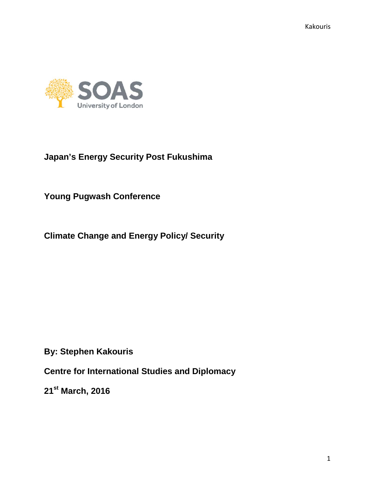

## **Japan's Energy Security Post Fukushima**

**Young Pugwash Conference**

**Climate Change and Energy Policy/ Security**

**By: Stephen Kakouris**

**Centre for International Studies and Diplomacy**

**21st March, 2016**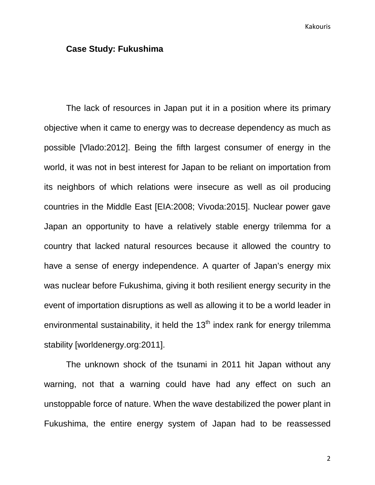## **Case Study: Fukushima**

The lack of resources in Japan put it in a position where its primary objective when it came to energy was to decrease dependency as much as possible [Vlado:2012]. Being the fifth largest consumer of energy in the world, it was not in best interest for Japan to be reliant on importation from its neighbors of which relations were insecure as well as oil producing countries in the Middle East [EIA:2008; Vivoda:2015]. Nuclear power gave Japan an opportunity to have a relatively stable energy trilemma for a country that lacked natural resources because it allowed the country to have a sense of energy independence. A quarter of Japan's energy mix was nuclear before Fukushima, giving it both resilient energy security in the event of importation disruptions as well as allowing it to be a world leader in environmental sustainability, it held the  $13<sup>th</sup>$  index rank for energy trilemma stability [worldenergy.org:2011].

The unknown shock of the tsunami in 2011 hit Japan without any warning, not that a warning could have had any effect on such an unstoppable force of nature. When the wave destabilized the power plant in Fukushima, the entire energy system of Japan had to be reassessed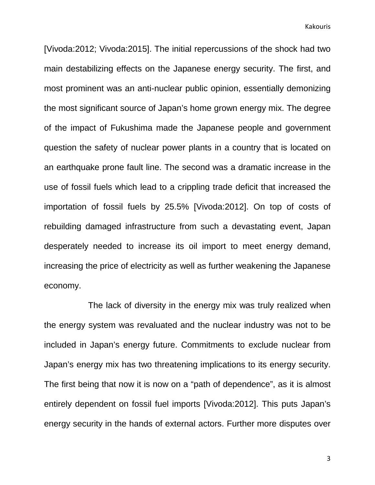Kakouris

[Vivoda:2012; Vivoda:2015]. The initial repercussions of the shock had two main destabilizing effects on the Japanese energy security. The first, and most prominent was an anti-nuclear public opinion, essentially demonizing the most significant source of Japan's home grown energy mix. The degree of the impact of Fukushima made the Japanese people and government question the safety of nuclear power plants in a country that is located on an earthquake prone fault line. The second was a dramatic increase in the use of fossil fuels which lead to a crippling trade deficit that increased the importation of fossil fuels by 25.5% [Vivoda:2012]. On top of costs of rebuilding damaged infrastructure from such a devastating event, Japan desperately needed to increase its oil import to meet energy demand, increasing the price of electricity as well as further weakening the Japanese economy.

The lack of diversity in the energy mix was truly realized when the energy system was revaluated and the nuclear industry was not to be included in Japan's energy future. Commitments to exclude nuclear from Japan's energy mix has two threatening implications to its energy security. The first being that now it is now on a "path of dependence", as it is almost entirely dependent on fossil fuel imports [Vivoda:2012]. This puts Japan's energy security in the hands of external actors. Further more disputes over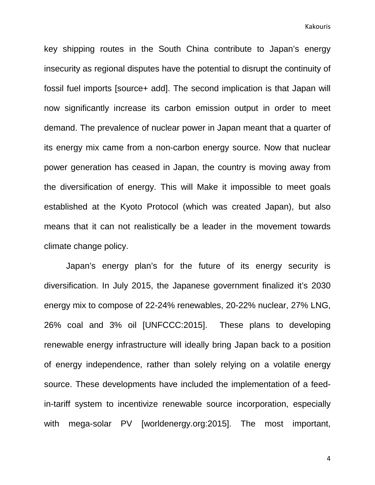Kakouris

key shipping routes in the South China contribute to Japan's energy insecurity as regional disputes have the potential to disrupt the continuity of fossil fuel imports [source+ add]. The second implication is that Japan will now significantly increase its carbon emission output in order to meet demand. The prevalence of nuclear power in Japan meant that a quarter of its energy mix came from a non-carbon energy source. Now that nuclear power generation has ceased in Japan, the country is moving away from the diversification of energy. This will Make it impossible to meet goals established at the Kyoto Protocol (which was created Japan), but also means that it can not realistically be a leader in the movement towards climate change policy.

Japan's energy plan's for the future of its energy security is diversification. In July 2015, the Japanese government finalized it's 2030 energy mix to compose of 22-24% renewables, 20-22% nuclear, 27% LNG, 26% coal and 3% oil [UNFCCC:2015]. These plans to developing renewable energy infrastructure will ideally bring Japan back to a position of energy independence, rather than solely relying on a volatile energy source. These developments have included the implementation of a feedin-tariff system to incentivize renewable source incorporation, especially with mega-solar PV [worldenergy.org:2015]. The most important,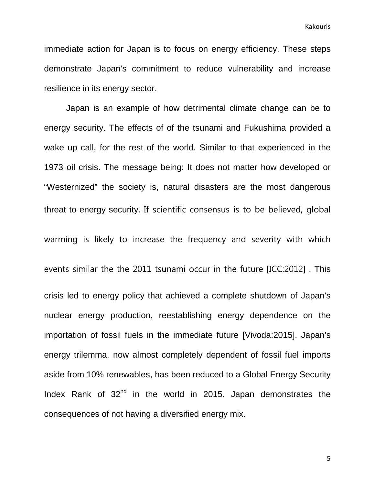immediate action for Japan is to focus on energy efficiency. These steps demonstrate Japan's commitment to reduce vulnerability and increase resilience in its energy sector.

Japan is an example of how detrimental climate change can be to energy security. The effects of of the tsunami and Fukushima provided a wake up call, for the rest of the world. Similar to that experienced in the 1973 oil crisis. The message being: It does not matter how developed or "Westernized" the society is, natural disasters are the most dangerous threat to energy security. If scientific consensus is to be believed, global warming is likely to increase the frequency and severity with which events similar the the 2011 tsunami occur in the future [ICC:2012] . This crisis led to energy policy that achieved a complete shutdown of Japan's nuclear energy production, reestablishing energy dependence on the importation of fossil fuels in the immediate future [Vivoda:2015]. Japan's energy trilemma, now almost completely dependent of fossil fuel imports aside from 10% renewables, has been reduced to a Global Energy Security Index Rank of  $32<sup>nd</sup>$  in the world in 2015. Japan demonstrates the consequences of not having a diversified energy mix.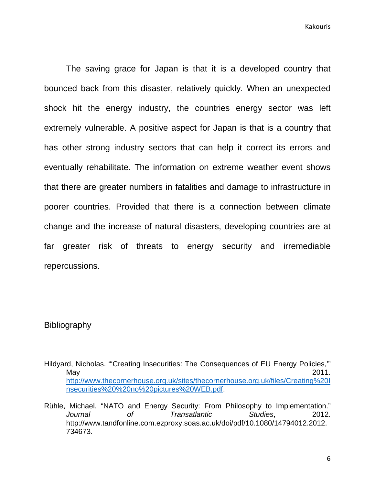Kakouris

The saving grace for Japan is that it is a developed country that bounced back from this disaster, relatively quickly. When an unexpected shock hit the energy industry, the countries energy sector was left extremely vulnerable. A positive aspect for Japan is that is a country that has other strong industry sectors that can help it correct its errors and eventually rehabilitate. The information on extreme weather event shows that there are greater numbers in fatalities and damage to infrastructure in poorer countries. Provided that there is a connection between climate change and the increase of natural disasters, developing countries are at far greater risk of threats to energy security and irremediable repercussions.

## Bibliography

Hildyard, Nicholas. "'Creating Insecurities: The Consequences of EU Energy Policies,'" May  $2011.$ [http://www.thecornerhouse.org.uk/sites/thecornerhouse.org.uk/files/Creating%20I](http://www.thecornerhouse.org.uk/sites/thecornerhouse.org.uk/files/Creating%20Insecurities%20%20no%20pictures%20WEB.pdf) [nsecurities%20%20no%20pictures%20WEB.pdf.](http://www.thecornerhouse.org.uk/sites/thecornerhouse.org.uk/files/Creating%20Insecurities%20%20no%20pictures%20WEB.pdf)

Rühle, Michael. "NATO and Energy Security: From Philosophy to Implementation." *Journal of Transatlantic Studies*, 2012. http://www.tandfonline.com.ezproxy.soas.ac.uk/doi/pdf/10.1080/14794012.2012. 734673.